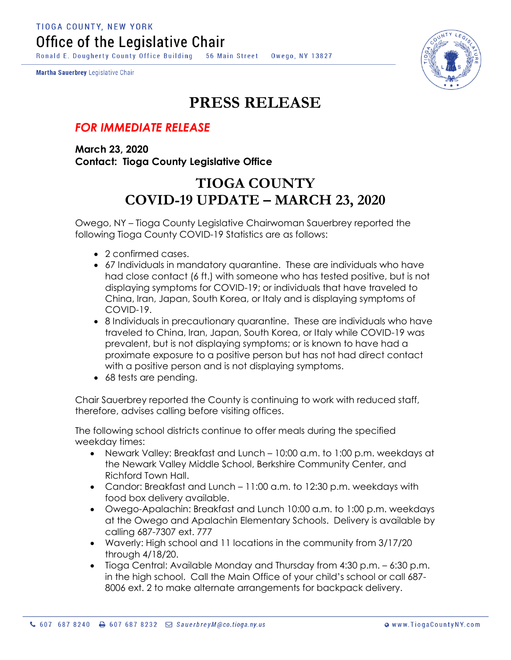**TIOGA COUNTY, NEW YORK** Office of the Legislative Chair

Ronald E. Dougherty County Office Building 56 Main Street Owego, NY 13827

Martha Sauerbrey Legislative Chair



## **PRESS RELEASE**

## *FOR IMMEDIATE RELEASE*

**March 23, 2020 Contact: Tioga County Legislative Office**

## **TIOGA COUNTY COVID-19 UPDATE – MARCH 23, 2020**

Owego, NY – Tioga County Legislative Chairwoman Sauerbrey reported the following Tioga County COVID-19 Statistics are as follows:

- 2 confirmed cases.
- 67 Individuals in mandatory quarantine. These are individuals who have had close contact (6 ft.) with someone who has tested positive, but is not displaying symptoms for COVID-19; or individuals that have traveled to China, Iran, Japan, South Korea, or Italy and is displaying symptoms of COVID-19.
- 8 Individuals in precautionary quarantine. These are individuals who have traveled to China, Iran, Japan, South Korea, or Italy while COVID-19 was prevalent, but is not displaying symptoms; or is known to have had a proximate exposure to a positive person but has not had direct contact with a positive person and is not displaying symptoms.
- 68 tests are pending.

Chair Sauerbrey reported the County is continuing to work with reduced staff, therefore, advises calling before visiting offices.

The following school districts continue to offer meals during the specified weekday times:

- Newark Valley: Breakfast and Lunch 10:00 a.m. to 1:00 p.m. weekdays at the Newark Valley Middle School, Berkshire Community Center, and Richford Town Hall.
- Candor: Breakfast and Lunch 11:00 a.m. to 12:30 p.m. weekdays with food box delivery available.
- Owego-Apalachin: Breakfast and Lunch 10:00 a.m. to 1:00 p.m. weekdays at the Owego and Apalachin Elementary Schools. Delivery is available by calling 687-7307 ext. 777
- Waverly: High school and 11 locations in the community from 3/17/20 through 4/18/20.
- Tioga Central: Available Monday and Thursday from 4:30 p.m. 6:30 p.m. in the high school. Call the Main Office of your child's school or call 687- 8006 ext. 2 to make alternate arrangements for backpack delivery.